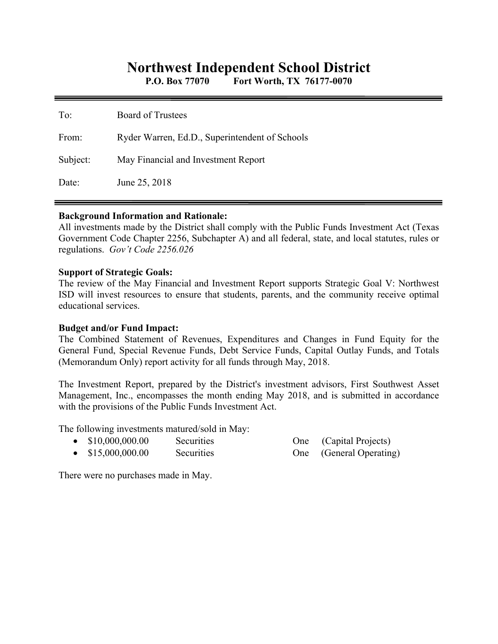# **Northwest Independent School District**

**P.O. Box 77070 Fort Worth, TX 76177-0070** 

| To:      | Board of Trustees                              |
|----------|------------------------------------------------|
| From:    | Ryder Warren, Ed.D., Superintendent of Schools |
| Subject: | May Financial and Investment Report            |
| Date:    | June 25, 2018                                  |

#### **Background Information and Rationale:**

All investments made by the District shall comply with the Public Funds Investment Act (Texas Government Code Chapter 2256, Subchapter A) and all federal, state, and local statutes, rules or regulations. *Gov't Code 2256.026* 

### **Support of Strategic Goals:**

The review of the May Financial and Investment Report supports Strategic Goal V: Northwest ISD will invest resources to ensure that students, parents, and the community receive optimal educational services.

## **Budget and/or Fund Impact:**

The Combined Statement of Revenues, Expenditures and Changes in Fund Equity for the General Fund, Special Revenue Funds, Debt Service Funds, Capital Outlay Funds, and Totals (Memorandum Only) report activity for all funds through May, 2018.

The Investment Report, prepared by the District's investment advisors, First Southwest Asset Management, Inc., encompasses the month ending May 2018, and is submitted in accordance with the provisions of the Public Funds Investment Act.

The following investments matured/sold in May:

| \$10,000,000.00 | Securities |
|-----------------|------------|
|-----------------|------------|

• \$15,000,000.00 Securities One (General Operating)

One (Capital Projects)

There were no purchases made in May.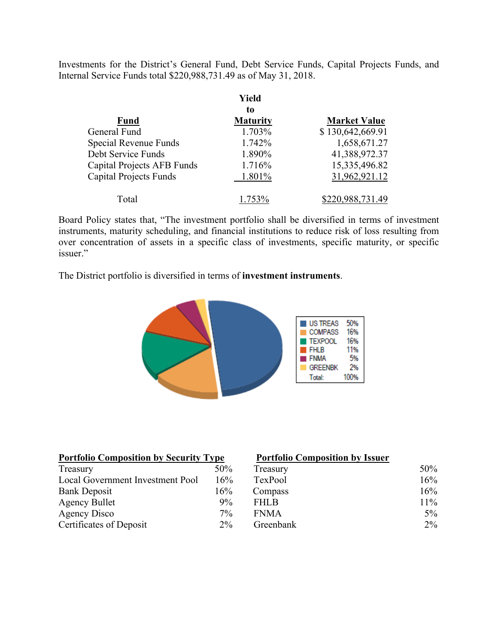Investments for the District's General Fund, Debt Service Funds, Capital Projects Funds, and Internal Service Funds total \$220,988,731.49 as of May 31, 2018.

|                               | Yield<br>to     |                     |
|-------------------------------|-----------------|---------------------|
| <b>Fund</b>                   | <b>Maturity</b> | <b>Market Value</b> |
| General Fund                  | 1.703%          | \$130,642,669.91    |
| Special Revenue Funds         | 1.742%          | 1,658,671.27        |
| Debt Service Funds            | 1.890%          | 41,388,972.37       |
| Capital Projects AFB Funds    | 1.716%          | 15,335,496.82       |
| <b>Capital Projects Funds</b> | 1.801%          | 31,962,921.12       |
| Total                         | 1.753%          | \$220,988,731.49    |

Board Policy states that, "The investment portfolio shall be diversified in terms of investment instruments, maturity scheduling, and financial institutions to reduce risk of loss resulting from over concentration of assets in a specific class of investments, specific maturity, or specific issuer."

The District portfolio is diversified in terms of **investment instruments**.



| <b>Portfolio Composition by Security Type</b> |       | <b>Portfolio Composition by Issuer</b> |        |
|-----------------------------------------------|-------|----------------------------------------|--------|
| Treasury                                      | 50%   | Treasury                               | 50%    |
| Local Government Investment Pool              | 16%   | TexPool                                | 16%    |
| <b>Bank Deposit</b>                           | 16%   | Compass                                | 16%    |
| <b>Agency Bullet</b>                          | $9\%$ | <b>FHLB</b>                            | $11\%$ |
| Agency Disco                                  | $7\%$ | <b>FNMA</b>                            | $5\%$  |
| Certificates of Deposit                       | $2\%$ | Greenbank                              | $2\%$  |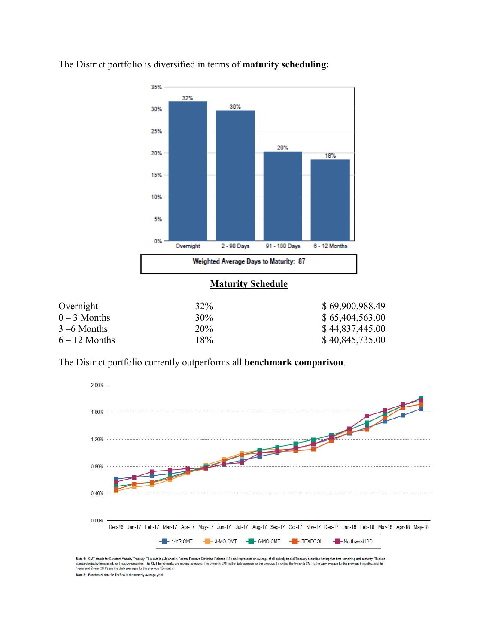

The District portfolio is diversified in terms of **maturity scheduling:** 

The District portfolio currently outperforms all **benchmark comparison**.



Note 1: CMT stands for Constant Maturity Treasury. This data is published in Federal Reserve Statistical Release H.15 and represents an average of all actively traded Treasury securities having that time remaining until ma erage of all actively traded Treasury securities having that time remaining until maturity. This is a Note 2: Benchmark data for TexPool is the monthly average yield.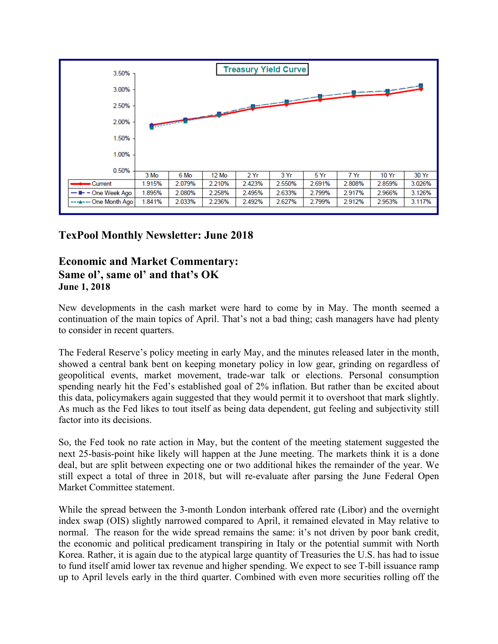

# **TexPool Monthly Newsletter: June 2018**

# **Economic and Market Commentary: Same ol', same ol' and that's OK June 1, 2018**

New developments in the cash market were hard to come by in May. The month seemed a continuation of the main topics of April. That's not a bad thing; cash managers have had plenty to consider in recent quarters.

The Federal Reserve's policy meeting in early May, and the minutes released later in the month, showed a central bank bent on keeping monetary policy in low gear, grinding on regardless of geopolitical events, market movement, trade-war talk or elections. Personal consumption spending nearly hit the Fed's established goal of 2% inflation. But rather than be excited about this data, policymakers again suggested that they would permit it to overshoot that mark slightly. As much as the Fed likes to tout itself as being data dependent, gut feeling and subjectivity still factor into its decisions.

So, the Fed took no rate action in May, but the content of the meeting statement suggested the next 25-basis-point hike likely will happen at the June meeting. The markets think it is a done deal, but are split between expecting one or two additional hikes the remainder of the year. We still expect a total of three in 2018, but will re-evaluate after parsing the June Federal Open Market Committee statement.

While the spread between the 3-month London interbank offered rate (Libor) and the overnight index swap (OIS) slightly narrowed compared to April, it remained elevated in May relative to normal. The reason for the wide spread remains the same: it's not driven by poor bank credit, the economic and political predicament transpiring in Italy or the potential summit with North Korea. Rather, it is again due to the atypical large quantity of Treasuries the U.S. has had to issue to fund itself amid lower tax revenue and higher spending. We expect to see T-bill issuance ramp up to April levels early in the third quarter. Combined with even more securities rolling off the